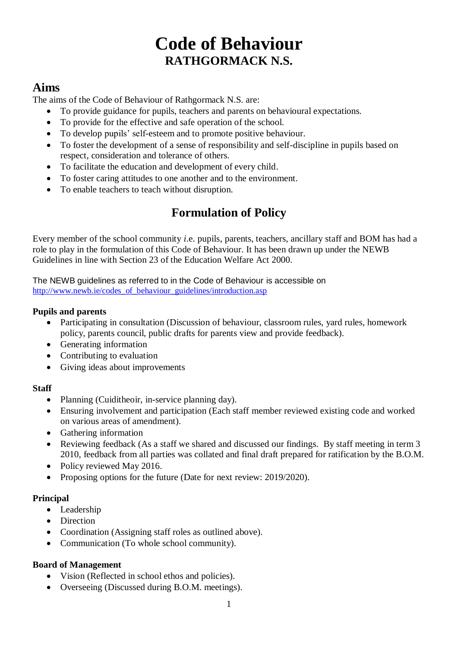# **Code of Behaviour RATHGORMACK N.S.**

## **Aims**

The aims of the Code of Behaviour of Rathgormack N.S. are:

- To provide guidance for pupils, teachers and parents on behavioural expectations.
- To provide for the effective and safe operation of the school.
- To develop pupils' self-esteem and to promote positive behaviour.
- To foster the development of a sense of responsibility and self-discipline in pupils based on respect, consideration and tolerance of others.
- To facilitate the education and development of every child.
- To foster caring attitudes to one another and to the environment.
- To enable teachers to teach without disruption.

## **Formulation of Policy**

Every member of the school community *i*.e. pupils, parents, teachers, ancillary staff and BOM has had a role to play in the formulation of this Code of Behaviour. It has been drawn up under the NEWB Guidelines in line with Section 23 of the Education Welfare Act 2000.

The NEWB guidelines as referred to in the Code of Behaviour is accessible on [http://www.newb.ie/codes\\_of\\_behaviour\\_guidelines/introduction.asp](http://www.newb.ie/codes_of_behaviour_guidelines/introduction.asp)

#### **Pupils and parents**

- Participating in consultation (Discussion of behaviour, classroom rules, yard rules, homework policy, parents council, public drafts for parents view and provide feedback).
- Generating information
- Contributing to evaluation
- Giving ideas about improvements

### **Staff**

- Planning (Cuiditheoir, in-service planning day).
- Ensuring involvement and participation (Each staff member reviewed existing code and worked on various areas of amendment).
- Gathering information
- Reviewing feedback (As a staff we shared and discussed our findings. By staff meeting in term 3 2010, feedback from all parties was collated and final draft prepared for ratification by the B.O.M.
- Policy reviewed May 2016.
- Proposing options for the future (Date for next review: 2019/2020).

### **Principal**

- Leadership
- Direction
- Coordination (Assigning staff roles as outlined above).
- Communication (To whole school community).

#### **Board of Management**

- Vision (Reflected in school ethos and policies).
- Overseeing (Discussed during B.O.M. meetings).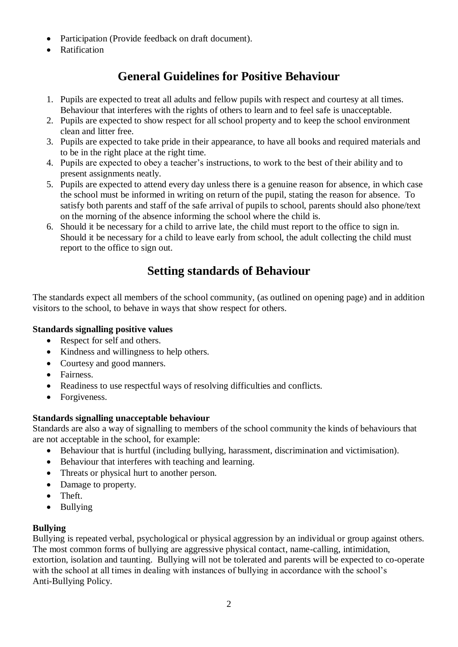- Participation (Provide feedback on draft document).
- Ratification

## **General Guidelines for Positive Behaviour**

- 1. Pupils are expected to treat all adults and fellow pupils with respect and courtesy at all times. Behaviour that interferes with the rights of others to learn and to feel safe is unacceptable.
- 2. Pupils are expected to show respect for all school property and to keep the school environment clean and litter free.
- 3. Pupils are expected to take pride in their appearance, to have all books and required materials and to be in the right place at the right time.
- 4. Pupils are expected to obey a teacher's instructions, to work to the best of their ability and to present assignments neatly.
- 5. Pupils are expected to attend every day unless there is a genuine reason for absence, in which case the school must be informed in writing on return of the pupil, stating the reason for absence. To satisfy both parents and staff of the safe arrival of pupils to school, parents should also phone/text on the morning of the absence informing the school where the child is.
- 6. Should it be necessary for a child to arrive late, the child must report to the office to sign in. Should it be necessary for a child to leave early from school, the adult collecting the child must report to the office to sign out.

## **Setting standards of Behaviour**

The standards expect all members of the school community*,* (as outlined on opening page) and in addition visitors to the school, to behave in ways that show respect for others.

#### **Standards signalling positive values**

- Respect for self and others.
- Kindness and willingness to help others.
- Courtesy and good manners.
- Fairness.
- Readiness to use respectful ways of resolving difficulties and conflicts.
- Forgiveness.

#### **Standards signalling unacceptable behaviour**

Standards are also a way of signalling to members of the school community the kinds of behaviours that are not acceptable in the school, for example:

- Behaviour that is hurtful (including bullying, harassment, discrimination and victimisation).
- Behaviour that interferes with teaching and learning.
- Threats or physical hurt to another person.
- Damage to property.
- Theft.
- Bullying

#### **Bullying**

Bullying is repeated verbal, psychological or physical aggression by an individual or group against others. The most common forms of bullying are aggressive physical contact, name-calling, intimidation, extortion, isolation and taunting. Bullying will not be tolerated and parents will be expected to co-operate with the school at all times in dealing with instances of bullying in accordance with the school's Anti-Bullying Policy.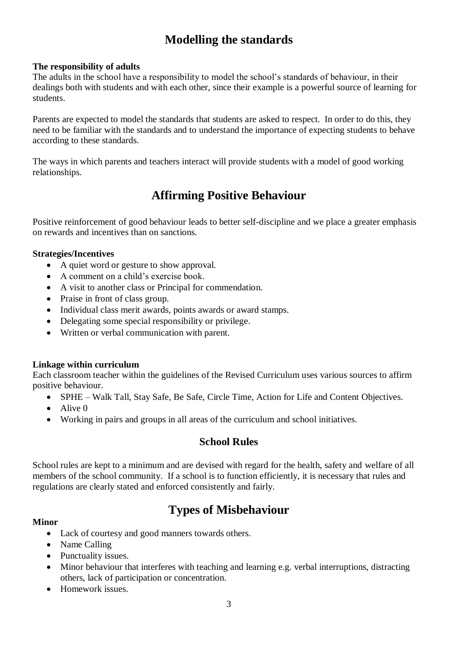## **Modelling the standards**

#### **The responsibility of adults**

The adults in the school have a responsibility to model the school's standards of behaviour, in their dealings both with students and with each other, since their example is a powerful source of learning for students.

Parents are expected to model the standards that students are asked to respect. In order to do this, they need to be familiar with the standards and to understand the importance of expecting students to behave according to these standards.

The ways in which parents and teachers interact will provide students with a model of good working relationships.

## **Affirming Positive Behaviour**

Positive reinforcement of good behaviour leads to better self-discipline and we place a greater emphasis on rewards and incentives than on sanctions.

#### **Strategies/Incentives**

- A quiet word or gesture to show approval.
- A comment on a child's exercise book.
- A visit to another class or Principal for commendation.
- Praise in front of class group.
- Individual class merit awards, points awards or award stamps.
- Delegating some special responsibility or privilege.
- Written or verbal communication with parent.

#### **Linkage within curriculum**

Each classroom teacher within the guidelines of the Revised Curriculum uses various sources to affirm positive behaviour.

- SPHE Walk Tall, Stay Safe, Be Safe, Circle Time, Action for Life and Content Objectives.
- $\bullet$  Alive 0
- Working in pairs and groups in all areas of the curriculum and school initiatives.

### **School Rules**

School rules are kept to a minimum and are devised with regard for the health, safety and welfare of all members of the school community. If a school is to function efficiently, it is necessary that rules and regulations are clearly stated and enforced consistently and fairly.

## **Types of Misbehaviour**

#### **Minor**

- Lack of courtesy and good manners towards others.
- Name Calling
- Punctuality issues.
- Minor behaviour that interferes with teaching and learning e.g. verbal interruptions, distracting others, lack of participation or concentration.
- Homework issues.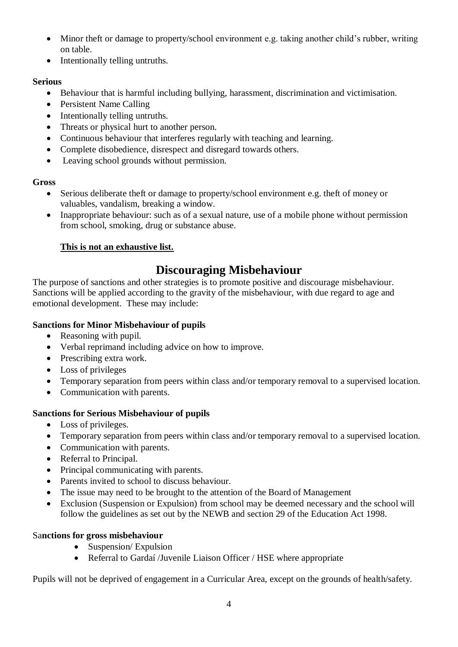- Minor theft or damage to property/school environment e.g. taking another child's rubber, writing on table.
- Intentionally telling untruths.

#### **Serious**

- Behaviour that is harmful including bullying, harassment, discrimination and victimisation.
- Persistent Name Calling
- Intentionally telling untruths.
- Threats or physical hurt to another person.
- Continuous behaviour that interferes regularly with teaching and learning.
- Complete disobedience, disrespect and disregard towards others.
- Leaving school grounds without permission.

### **Gross**

- Serious deliberate theft or damage to property/school environment e.g. theft of money or valuables, vandalism, breaking a window.
- Inappropriate behaviour: such as of a sexual nature, use of a mobile phone without permission from school, smoking, drug or substance abuse.

### **This is not an exhaustive list.**

## **Discouraging Misbehaviour**

The purpose of sanctions and other strategies is to promote positive and discourage misbehaviour. Sanctions will be applied according to the gravity of the misbehaviour, with due regard to age and emotional development. These may include:

### **Sanctions for Minor Misbehaviour of pupils**

- Reasoning with pupil.
- Verbal reprimand including advice on how to improve.
- Prescribing extra work.
- Loss of privileges
- Temporary separation from peers within class and/or temporary removal to a supervised location.
- Communication with parents.

### **Sanctions for Serious Misbehaviour of pupils**

- Loss of privileges.
- Temporary separation from peers within class and/or temporary removal to a supervised location.
- Communication with parents.
- Referral to Principal.
- Principal communicating with parents.
- Parents invited to school to discuss behaviour.
- The issue may need to be brought to the attention of the Board of Management
- Exclusion (Suspension or Expulsion) from school may be deemed necessary and the school will follow the guidelines as set out by the NEWB and section 29 of the Education Act 1998.

### Sa**nctions for gross misbehaviour**

- Suspension/Expulsion
- Referral to Gardaí /Juvenile Liaison Officer / HSE where appropriate

Pupils will not be deprived of engagement in a Curricular Area, except on the grounds of health/safety.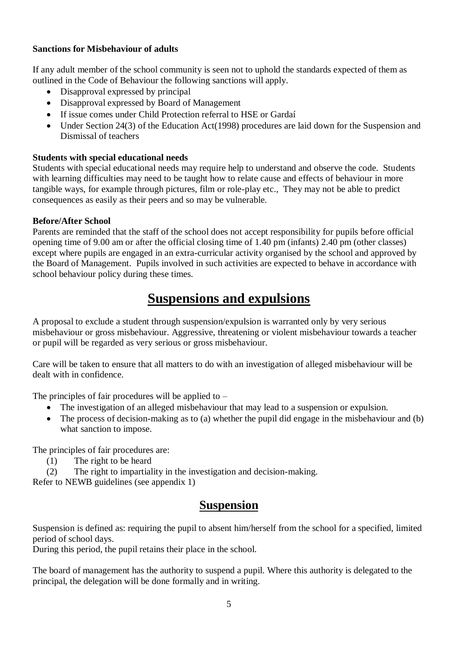#### **Sanctions for Misbehaviour of adults**

If any adult member of the school community is seen not to uphold the standards expected of them as outlined in the Code of Behaviour the following sanctions will apply.

- Disapproval expressed by principal
- Disapproval expressed by Board of Management
- If issue comes under Child Protection referral to HSE or Gardaí
- Under Section 24(3) of the Education Act(1998) procedures are laid down for the Suspension and Dismissal of teachers

#### **Students with special educational needs**

Students with special educational needs may require help to understand and observe the code. Students with learning difficulties may need to be taught how to relate cause and effects of behaviour in more tangible ways, for example through pictures, film or role-play etc., They may not be able to predict consequences as easily as their peers and so may be vulnerable.

#### **Before/After School**

Parents are reminded that the staff of the school does not accept responsibility for pupils before official opening time of 9.00 am or after the official closing time of 1.40 pm (infants) 2.40 pm (other classes) except where pupils are engaged in an extra-curricular activity organised by the school and approved by the Board of Management. Pupils involved in such activities are expected to behave in accordance with school behaviour policy during these times.

## **Suspensions and expulsions**

A proposal to exclude a student through suspension/expulsion is warranted only by very serious misbehaviour or gross misbehaviour. Aggressive, threatening or violent misbehaviour towards a teacher or pupil will be regarded as very serious or gross misbehaviour.

Care will be taken to ensure that all matters to do with an investigation of alleged misbehaviour will be dealt with in confidence.

The principles of fair procedures will be applied to  $-$ 

- The investigation of an alleged misbehaviour that may lead to a suspension or expulsion.
- The process of decision-making as to (a) whether the pupil did engage in the misbehaviour and (b) what sanction to impose.

The principles of fair procedures are:

(1) The right to be heard

(2) The right to impartiality in the investigation and decision-making.

Refer to NEWB guidelines (see appendix 1)

### **Suspension**

Suspension is defined as: requiring the pupil to absent him/herself from the school for a specified, limited period of school days.

During this period, the pupil retains their place in the school.

The board of management has the authority to suspend a pupil. Where this authority is delegated to the principal, the delegation will be done formally and in writing.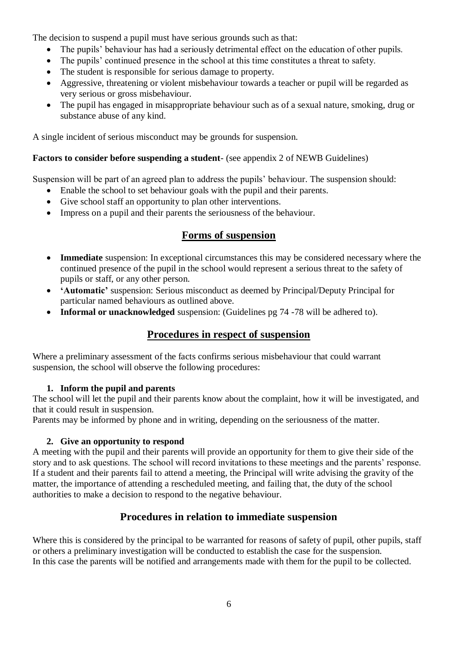The decision to suspend a pupil must have serious grounds such as that:

- The pupils' behaviour has had a seriously detrimental effect on the education of other pupils.
- The pupils' continued presence in the school at this time constitutes a threat to safety.
- The student is responsible for serious damage to property.
- Aggressive, threatening or violent misbehaviour towards a teacher or pupil will be regarded as very serious or gross misbehaviour.
- The pupil has engaged in misappropriate behaviour such as of a sexual nature, smoking, drug or substance abuse of any kind.

A single incident of serious misconduct may be grounds for suspension.

### **Factors to consider before suspending a student**- (see appendix 2 of NEWB Guidelines)

Suspension will be part of an agreed plan to address the pupils' behaviour. The suspension should:

- Enable the school to set behaviour goals with the pupil and their parents.
- Give school staff an opportunity to plan other interventions.
- Impress on a pupil and their parents the seriousness of the behaviour.

### **Forms of suspension**

- **Immediate** suspension: In exceptional circumstances this may be considered necessary where the continued presence of the pupil in the school would represent a serious threat to the safety of pupils or staff, or any other person.
- **'Automatic'** suspension: Serious misconduct as deemed by Principal/Deputy Principal for particular named behaviours as outlined above.
- **Informal or unacknowledged** suspension: (Guidelines pg 74 -78 will be adhered to).

### **Procedures in respect of suspension**

Where a preliminary assessment of the facts confirms serious misbehaviour that could warrant suspension, the school will observe the following procedures:

#### **1. Inform the pupil and parents**

The school will let the pupil and their parents know about the complaint, how it will be investigated, and that it could result in suspension.

Parents may be informed by phone and in writing, depending on the seriousness of the matter.

#### **2. Give an opportunity to respond**

A meeting with the pupil and their parents will provide an opportunity for them to give their side of the story and to ask questions. The school will record invitations to these meetings and the parents' response. If a student and their parents fail to attend a meeting, the Principal will write advising the gravity of the matter, the importance of attending a rescheduled meeting, and failing that, the duty of the school authorities to make a decision to respond to the negative behaviour.

### **Procedures in relation to immediate suspension**

Where this is considered by the principal to be warranted for reasons of safety of pupil, other pupils, staff or others a preliminary investigation will be conducted to establish the case for the suspension. In this case the parents will be notified and arrangements made with them for the pupil to be collected.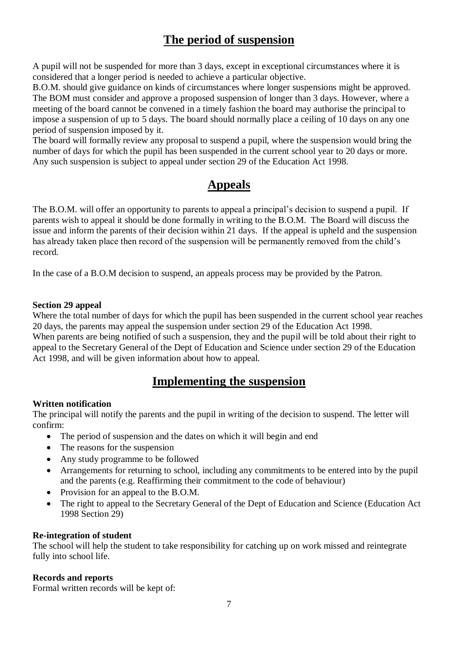## **The period of suspension**

A pupil will not be suspended for more than 3 days, except in exceptional circumstances where it is considered that a longer period is needed to achieve a particular objective.

B.O.M. should give guidance on kinds of circumstances where longer suspensions might be approved. The BOM must consider and approve a proposed suspension of longer than 3 days. However, where a meeting of the board cannot be convened in a timely fashion the board may authorise the principal to impose a suspension of up to 5 days. The board should normally place a ceiling of 10 days on any one period of suspension imposed by it.

The board will formally review any proposal to suspend a pupil, where the suspension would bring the number of days for which the pupil has been suspended in the current school year to 20 days or more. Any such suspension is subject to appeal under section 29 of the Education Act 1998.

## **Appeals**

The B.O.M. will offer an opportunity to parents to appeal a principal's decision to suspend a pupil. If parents wish to appeal it should be done formally in writing to the B.O.M. The Board will discuss the issue and inform the parents of their decision within 21 days. If the appeal is upheld and the suspension has already taken place then record of the suspension will be permanently removed from the child's record.

In the case of a B.O.M decision to suspend, an appeals process may be provided by the Patron.

#### **Section 29 appeal**

Where the total number of days for which the pupil has been suspended in the current school year reaches 20 days, the parents may appeal the suspension under section 29 of the Education Act 1998. When parents are being notified of such a suspension, they and the pupil will be told about their right to appeal to the Secretary General of the Dept of Education and Science under section 29 of the Education Act 1998, and will be given information about how to appeal.

### **Implementing the suspension**

### **Written notification**

The principal will notify the parents and the pupil in writing of the decision to suspend. The letter will confirm:

- The period of suspension and the dates on which it will begin and end
- The reasons for the suspension
- Any study programme to be followed
- Arrangements for returning to school, including any commitments to be entered into by the pupil and the parents (e.g. Reaffirming their commitment to the code of behaviour)
- Provision for an appeal to the B.O.M.
- The right to appeal to the Secretary General of the Dept of Education and Science (Education Act 1998 Section 29)

#### **Re-integration of student**

The school will help the student to take responsibility for catching up on work missed and reintegrate fully into school life.

#### **Records and reports**

Formal written records will be kept of: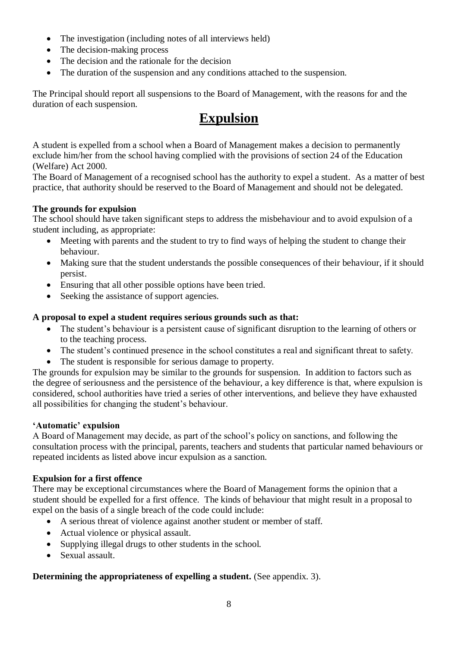- The investigation (including notes of all interviews held)
- The decision-making process
- The decision and the rationale for the decision
- The duration of the suspension and any conditions attached to the suspension.

The Principal should report all suspensions to the Board of Management, with the reasons for and the duration of each suspension.

## **Expulsion**

A student is expelled from a school when a Board of Management makes a decision to permanently exclude him/her from the school having complied with the provisions of section 24 of the Education (Welfare) Act 2000.

The Board of Management of a recognised school has the authority to expel a student. As a matter of best practice, that authority should be reserved to the Board of Management and should not be delegated.

#### **The grounds for expulsion**

The school should have taken significant steps to address the misbehaviour and to avoid expulsion of a student including, as appropriate:

- Meeting with parents and the student to try to find ways of helping the student to change their behaviour.
- Making sure that the student understands the possible consequences of their behaviour, if it should persist.
- Ensuring that all other possible options have been tried.
- Seeking the assistance of support agencies.

#### **A proposal to expel a student requires serious grounds such as that:**

- The student's behaviour is a persistent cause of significant disruption to the learning of others or to the teaching process.
- The student's continued presence in the school constitutes a real and significant threat to safety.
- The student is responsible for serious damage to property.

The grounds for expulsion may be similar to the grounds for suspension. In addition to factors such as the degree of seriousness and the persistence of the behaviour, a key difference is that, where expulsion is considered, school authorities have tried a series of other interventions, and believe they have exhausted all possibilities for changing the student's behaviour.

#### **'Automatic' expulsion**

A Board of Management may decide, as part of the school's policy on sanctions, and following the consultation process with the principal, parents, teachers and students that particular named behaviours or repeated incidents as listed above incur expulsion as a sanction.

#### **Expulsion for a first offence**

There may be exceptional circumstances where the Board of Management forms the opinion that a student should be expelled for a first offence. The kinds of behaviour that might result in a proposal to expel on the basis of a single breach of the code could include:

- A serious threat of violence against another student or member of staff.
- Actual violence or physical assault.
- Supplying illegal drugs to other students in the school.
- Sexual assault.

#### **Determining the appropriateness of expelling a student.** (See appendix. 3).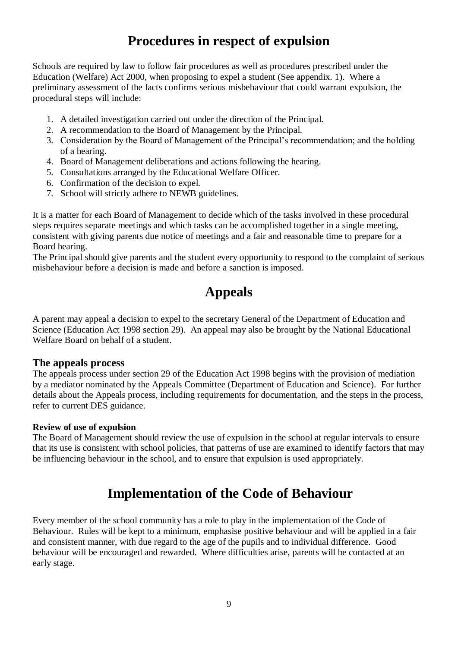# **Procedures in respect of expulsion**

Schools are required by law to follow fair procedures as well as procedures prescribed under the Education (Welfare) Act 2000, when proposing to expel a student (See appendix. 1). Where a preliminary assessment of the facts confirms serious misbehaviour that could warrant expulsion, the procedural steps will include:

- 1. A detailed investigation carried out under the direction of the Principal.
- 2. A recommendation to the Board of Management by the Principal.
- 3. Consideration by the Board of Management of the Principal's recommendation; and the holding of a hearing.
- 4. Board of Management deliberations and actions following the hearing.
- 5. Consultations arranged by the Educational Welfare Officer.
- 6. Confirmation of the decision to expel.
- 7. School will strictly adhere to NEWB guidelines.

It is a matter for each Board of Management to decide which of the tasks involved in these procedural steps requires separate meetings and which tasks can be accomplished together in a single meeting, consistent with giving parents due notice of meetings and a fair and reasonable time to prepare for a Board hearing.

The Principal should give parents and the student every opportunity to respond to the complaint of serious misbehaviour before a decision is made and before a sanction is imposed.

# **Appeals**

A parent may appeal a decision to expel to the secretary General of the Department of Education and Science (Education Act 1998 section 29). An appeal may also be brought by the National Educational Welfare Board on behalf of a student.

#### **The appeals process**

The appeals process under section 29 of the Education Act 1998 begins with the provision of mediation by a mediator nominated by the Appeals Committee (Department of Education and Science). For further details about the Appeals process, including requirements for documentation, and the steps in the process, refer to current DES guidance.

#### **Review of use of expulsion**

The Board of Management should review the use of expulsion in the school at regular intervals to ensure that its use is consistent with school policies, that patterns of use are examined to identify factors that may be influencing behaviour in the school, and to ensure that expulsion is used appropriately.

## **Implementation of the Code of Behaviour**

Every member of the school community has a role to play in the implementation of the Code of Behaviour. Rules will be kept to a minimum, emphasise positive behaviour and will be applied in a fair and consistent manner, with due regard to the age of the pupils and to individual difference. Good behaviour will be encouraged and rewarded. Where difficulties arise, parents will be contacted at an early stage.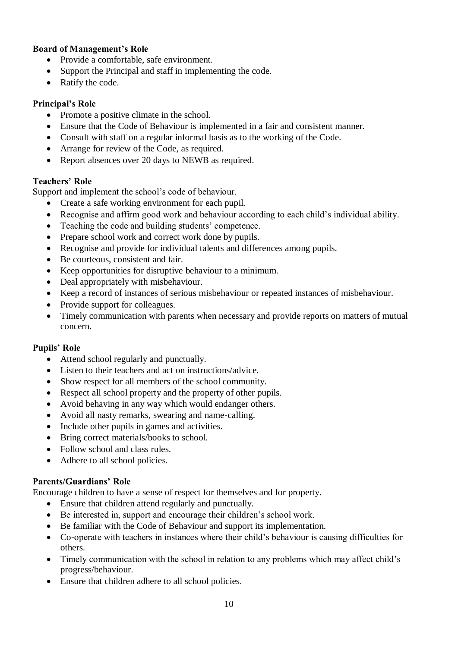#### **Board of Management's Role**

- Provide a comfortable, safe environment.
- Support the Principal and staff in implementing the code.
- Ratify the code.

### **Principal's Role**

- Promote a positive climate in the school.
- Ensure that the Code of Behaviour is implemented in a fair and consistent manner.
- Consult with staff on a regular informal basis as to the working of the Code.
- Arrange for review of the Code, as required.
- Report absences over 20 days to NEWB as required.

#### **Teachers' Role**

Support and implement the school's code of behaviour.

- Create a safe working environment for each pupil.
- Recognise and affirm good work and behaviour according to each child's individual ability.
- Teaching the code and building students' competence.
- Prepare school work and correct work done by pupils.
- Recognise and provide for individual talents and differences among pupils.
- Be courteous, consistent and fair.
- Keep opportunities for disruptive behaviour to a minimum.
- Deal appropriately with misbehaviour.
- Keep a record of instances of serious misbehaviour or repeated instances of misbehaviour.
- Provide support for colleagues.
- Timely communication with parents when necessary and provide reports on matters of mutual concern.

### **Pupils' Role**

- Attend school regularly and punctually.
- Listen to their teachers and act on instructions/advice.
- Show respect for all members of the school community.
- Respect all school property and the property of other pupils.
- Avoid behaving in any way which would endanger others.
- Avoid all nasty remarks, swearing and name-calling.
- Include other pupils in games and activities.
- Bring correct materials/books to school.
- Follow school and class rules.
- Adhere to all school policies.

#### **Parents/Guardians' Role**

Encourage children to have a sense of respect for themselves and for property.

- Ensure that children attend regularly and punctually.
- Be interested in, support and encourage their children's school work.
- Be familiar with the Code of Behaviour and support its implementation.
- Co-operate with teachers in instances where their child's behaviour is causing difficulties for others.
- Timely communication with the school in relation to any problems which may affect child's progress/behaviour.
- Ensure that children adhere to all school policies.